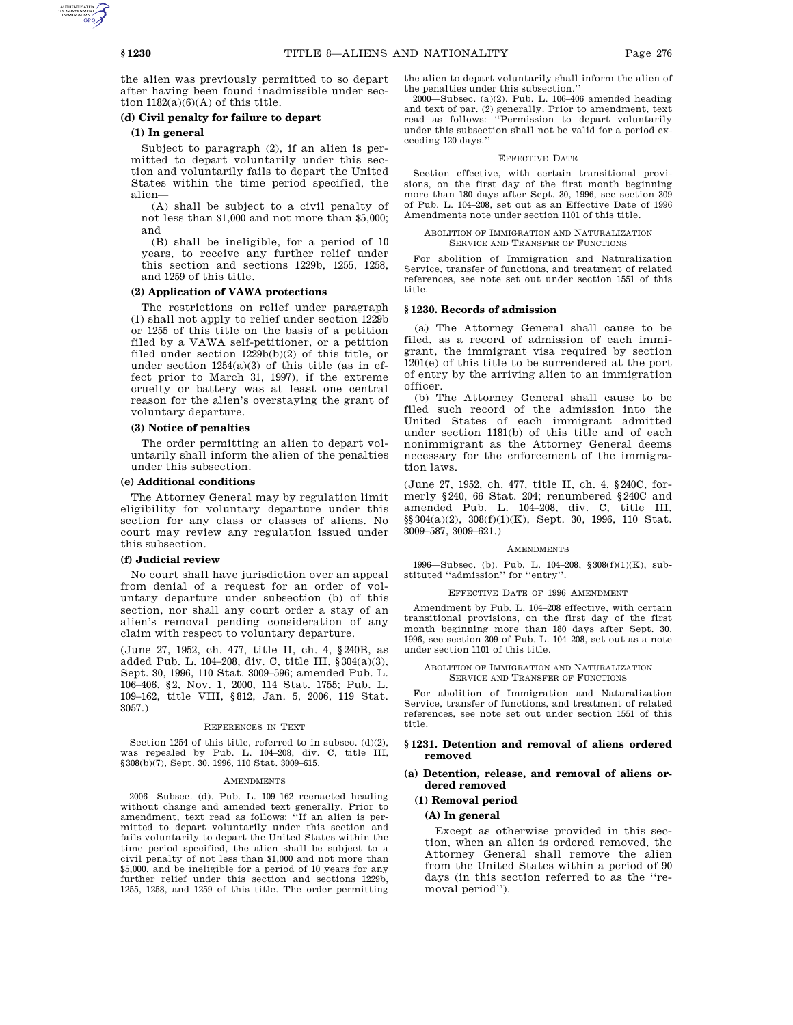the alien was previously permitted to so depart after having been found inadmissible under section  $1182(a)(6)(A)$  of this title.

### **(d) Civil penalty for failure to depart**

### **(1) In general**

Subject to paragraph (2), if an alien is permitted to depart voluntarily under this section and voluntarily fails to depart the United States within the time period specified, the alien—

(A) shall be subject to a civil penalty of not less than \$1,000 and not more than \$5,000; and

(B) shall be ineligible, for a period of 10 years, to receive any further relief under this section and sections 1229b, 1255, 1258, and 1259 of this title.

### **(2) Application of VAWA protections**

The restrictions on relief under paragraph (1) shall not apply to relief under section 1229b or 1255 of this title on the basis of a petition filed by a VAWA self-petitioner, or a petition filed under section 1229b(b)(2) of this title, or under section  $1254(a)(3)$  of this title (as in effect prior to March 31, 1997), if the extreme cruelty or battery was at least one central reason for the alien's overstaying the grant of voluntary departure.

### **(3) Notice of penalties**

The order permitting an alien to depart voluntarily shall inform the alien of the penalties under this subsection.

### **(e) Additional conditions**

The Attorney General may by regulation limit eligibility for voluntary departure under this section for any class or classes of aliens. No court may review any regulation issued under this subsection.

### **(f) Judicial review**

No court shall have jurisdiction over an appeal from denial of a request for an order of voluntary departure under subsection (b) of this section, nor shall any court order a stay of an alien's removal pending consideration of any claim with respect to voluntary departure.

(June 27, 1952, ch. 477, title II, ch. 4, §240B, as added Pub. L. 104–208, div. C, title III, §304(a)(3), Sept. 30, 1996, 110 Stat. 3009–596; amended Pub. L. 106–406, §2, Nov. 1, 2000, 114 Stat. 1755; Pub. L. 109–162, title VIII, §812, Jan. 5, 2006, 119 Stat. 3057.)

### REFERENCES IN TEXT

Section 1254 of this title, referred to in subsec. (d)(2), was repealed by Pub. L. 104–208, div. C, title III, §308(b)(7), Sept. 30, 1996, 110 Stat. 3009-615.

#### AMENDMENTS

2006—Subsec. (d). Pub. L. 109–162 reenacted heading without change and amended text generally. Prior to amendment, text read as follows: ''If an alien is permitted to depart voluntarily under this section and fails voluntarily to depart the United States within the time period specified, the alien shall be subject to a civil penalty of not less than \$1,000 and not more than \$5,000, and be ineligible for a period of 10 years for any further relief under this section and sections 1229b, 1255, 1258, and 1259 of this title. The order permitting

the alien to depart voluntarily shall inform the alien of the penalties under this subsection.''

2000—Subsec. (a)(2). Pub. L. 106–406 amended heading and text of par. (2) generally. Prior to amendment, text read as follows: ''Permission to depart voluntarily under this subsection shall not be valid for a period exceeding 120 days.''

### EFFECTIVE DATE

Section effective, with certain transitional provisions, on the first day of the first month beginning more than 180 days after Sept. 30, 1996, see section 309 of Pub. L. 104–208, set out as an Effective Date of 1996 Amendments note under section 1101 of this title.

ABOLITION OF IMMIGRATION AND NATURALIZATION SERVICE AND TRANSFER OF FUNCTIONS

For abolition of Immigration and Naturalization Service, transfer of functions, and treatment of related references, see note set out under section 1551 of this title.

#### **§ 1230. Records of admission**

(a) The Attorney General shall cause to be filed, as a record of admission of each immigrant, the immigrant visa required by section 1201(e) of this title to be surrendered at the port of entry by the arriving alien to an immigration officer.

(b) The Attorney General shall cause to be filed such record of the admission into the United States of each immigrant admitted under section 1181(b) of this title and of each nonimmigrant as the Attorney General deems necessary for the enforcement of the immigration laws.

(June 27, 1952, ch. 477, title II, ch. 4, §240C, formerly §240, 66 Stat. 204; renumbered §240C and amended Pub. L. 104–208, div. C, title III, §§304(a)(2), 308(f)(1)(K), Sept. 30, 1996, 110 Stat. 3009–587, 3009–621.)

#### **AMENDMENTS**

1996—Subsec. (b). Pub. L. 104–208, §308(f)(1)(K), substituted ''admission'' for ''entry''.

#### EFFECTIVE DATE OF 1996 AMENDMENT

Amendment by Pub. L. 104–208 effective, with certain transitional provisions, on the first day of the first month beginning more than 180 days after Sept. 30, 1996, see section 309 of Pub. L. 104–208, set out as a note under section 1101 of this title.

### ABOLITION OF IMMIGRATION AND NATURALIZATION SERVICE AND TRANSFER OF FUNCTIONS

For abolition of Immigration and Naturalization Service, transfer of functions, and treatment of related references, see note set out under section 1551 of this title.

#### **§ 1231. Detention and removal of aliens ordered removed**

### **(a) Detention, release, and removal of aliens ordered removed**

### **(1) Removal period**

### **(A) In general**

Except as otherwise provided in this section, when an alien is ordered removed, the Attorney General shall remove the alien from the United States within a period of 90 days (in this section referred to as the ''removal period'').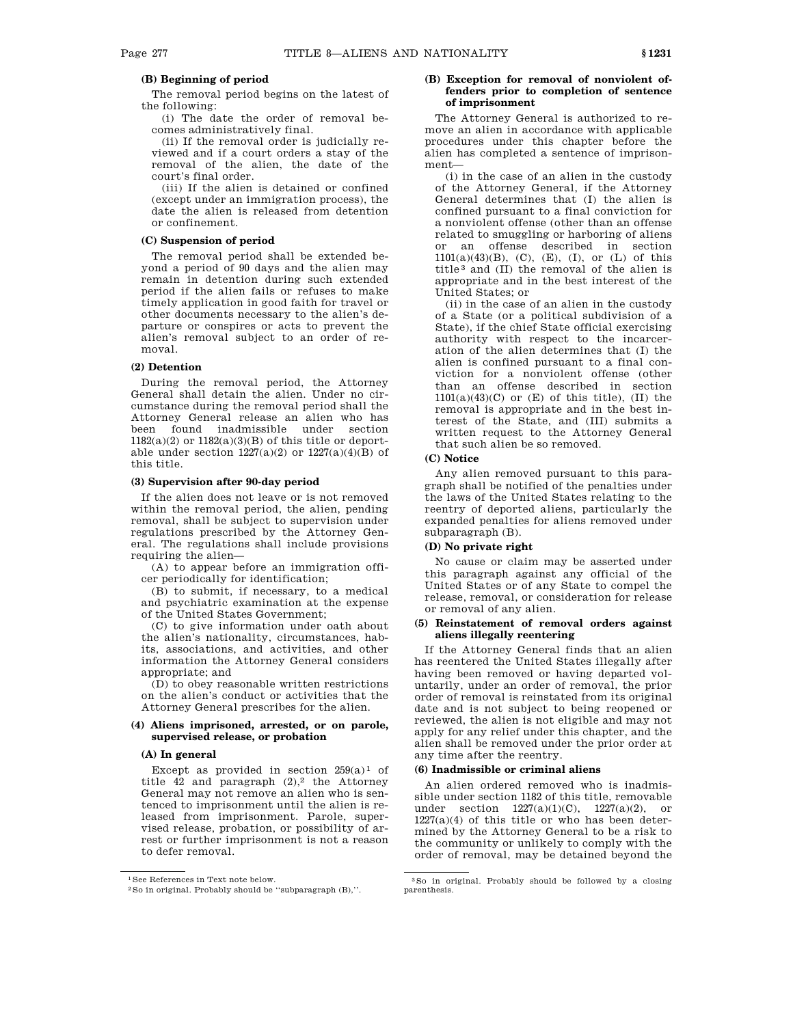### **(B) Beginning of period**

The removal period begins on the latest of the following:

(i) The date the order of removal becomes administratively final.

(ii) If the removal order is judicially reviewed and if a court orders a stay of the removal of the alien, the date of the court's final order.

(iii) If the alien is detained or confined (except under an immigration process), the date the alien is released from detention or confinement.

### **(C) Suspension of period**

The removal period shall be extended beyond a period of 90 days and the alien may remain in detention during such extended period if the alien fails or refuses to make timely application in good faith for travel or other documents necessary to the alien's departure or conspires or acts to prevent the alien's removal subject to an order of removal.

### **(2) Detention**

During the removal period, the Attorney General shall detain the alien. Under no circumstance during the removal period shall the Attorney General release an alien who has been found inadmissible under section  $1182(a)(2)$  or  $1182(a)(3)(B)$  of this title or deportable under section  $1227(a)(2)$  or  $1227(a)(4)(B)$  of this title.

### **(3) Supervision after 90-day period**

If the alien does not leave or is not removed within the removal period, the alien, pending removal, shall be subject to supervision under regulations prescribed by the Attorney General. The regulations shall include provisions requiring the alien—

(A) to appear before an immigration officer periodically for identification;

(B) to submit, if necessary, to a medical and psychiatric examination at the expense of the United States Government;

(C) to give information under oath about the alien's nationality, circumstances, habits, associations, and activities, and other information the Attorney General considers appropriate; and

(D) to obey reasonable written restrictions on the alien's conduct or activities that the Attorney General prescribes for the alien.

### **(4) Aliens imprisoned, arrested, or on parole, supervised release, or probation**

### **(A) In general**

Except as provided in section  $259(a)^1$  of title  $42$  and paragraph  $(2),^2$  the Attorney General may not remove an alien who is sentenced to imprisonment until the alien is released from imprisonment. Parole, supervised release, probation, or possibility of arrest or further imprisonment is not a reason to defer removal.

### **(B) Exception for removal of nonviolent offenders prior to completion of sentence of imprisonment**

The Attorney General is authorized to remove an alien in accordance with applicable procedures under this chapter before the alien has completed a sentence of imprisonment—

(i) in the case of an alien in the custody of the Attorney General, if the Attorney General determines that (I) the alien is confined pursuant to a final conviction for a nonviolent offense (other than an offense related to smuggling or harboring of aliens or an offense described in section  $1101(a)(43)(B)$ , (C), (E), (I), or (L) of this title 3 and (II) the removal of the alien is appropriate and in the best interest of the United States; or

(ii) in the case of an alien in the custody of a State (or a political subdivision of a State), if the chief State official exercising authority with respect to the incarceration of the alien determines that (I) the alien is confined pursuant to a final conviction for a nonviolent offense (other than an offense described in section  $1101(a)(43)(C)$  or  $(E)$  of this title),  $(II)$  the removal is appropriate and in the best interest of the State, and (III) submits a written request to the Attorney General that such alien be so removed.

### **(C) Notice**

Any alien removed pursuant to this paragraph shall be notified of the penalties under the laws of the United States relating to the reentry of deported aliens, particularly the expanded penalties for aliens removed under subparagraph (B).

### **(D) No private right**

No cause or claim may be asserted under this paragraph against any official of the United States or of any State to compel the release, removal, or consideration for release or removal of any alien.

### **(5) Reinstatement of removal orders against aliens illegally reentering**

If the Attorney General finds that an alien has reentered the United States illegally after having been removed or having departed voluntarily, under an order of removal, the prior order of removal is reinstated from its original date and is not subject to being reopened or reviewed, the alien is not eligible and may not apply for any relief under this chapter, and the alien shall be removed under the prior order at any time after the reentry.

# **(6) Inadmissible or criminal aliens**

An alien ordered removed who is inadmissible under section 1182 of this title, removable under section  $1227(a)(1)(C)$ ,  $1227(a)(2)$ , or  $1227(a)(4)$  of this title or who has been determined by the Attorney General to be a risk to the community or unlikely to comply with the order of removal, may be detained beyond the

<sup>1</sup>See References in Text note below.

<sup>2</sup>So in original. Probably should be ''subparagraph (B),''.

<sup>3</sup>So in original. Probably should be followed by a closing parenthesis.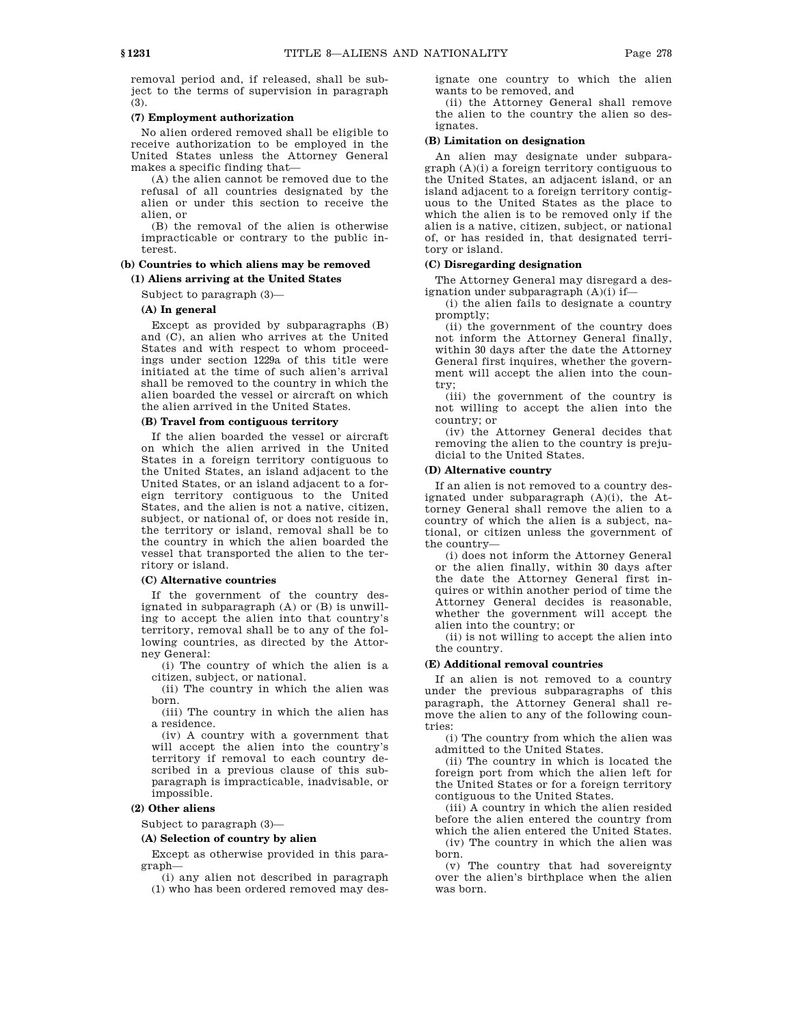removal period and, if released, shall be subject to the terms of supervision in paragraph (3).

### **(7) Employment authorization**

No alien ordered removed shall be eligible to receive authorization to be employed in the United States unless the Attorney General makes a specific finding that—

(A) the alien cannot be removed due to the refusal of all countries designated by the alien or under this section to receive the alien, or

(B) the removal of the alien is otherwise impracticable or contrary to the public interest.

# **(b) Countries to which aliens may be removed (1) Aliens arriving at the United States**

Subject to paragraph (3)—

# **(A) In general**

Except as provided by subparagraphs (B) and (C), an alien who arrives at the United States and with respect to whom proceedings under section 1229a of this title were initiated at the time of such alien's arrival shall be removed to the country in which the alien boarded the vessel or aircraft on which the alien arrived in the United States.

### **(B) Travel from contiguous territory**

If the alien boarded the vessel or aircraft on which the alien arrived in the United States in a foreign territory contiguous to the United States, an island adjacent to the United States, or an island adjacent to a foreign territory contiguous to the United States, and the alien is not a native, citizen, subject, or national of, or does not reside in, the territory or island, removal shall be to the country in which the alien boarded the vessel that transported the alien to the territory or island.

### **(C) Alternative countries**

If the government of the country designated in subparagraph (A) or (B) is unwilling to accept the alien into that country's territory, removal shall be to any of the following countries, as directed by the Attorney General:

(i) The country of which the alien is a citizen, subject, or national.

(ii) The country in which the alien was born.

(iii) The country in which the alien has a residence.

(iv) A country with a government that will accept the alien into the country's territory if removal to each country described in a previous clause of this subparagraph is impracticable, inadvisable, or impossible.

### **(2) Other aliens**

Subject to paragraph (3)—

### **(A) Selection of country by alien**

Except as otherwise provided in this paragraph—

(i) any alien not described in paragraph (1) who has been ordered removed may designate one country to which the alien wants to be removed, and

(ii) the Attorney General shall remove the alien to the country the alien so designates.

### **(B) Limitation on designation**

An alien may designate under subparagraph (A)(i) a foreign territory contiguous to the United States, an adjacent island, or an island adjacent to a foreign territory contiguous to the United States as the place to which the alien is to be removed only if the alien is a native, citizen, subject, or national of, or has resided in, that designated territory or island.

### **(C) Disregarding designation**

The Attorney General may disregard a designation under subparagraph (A)(i) if—

(i) the alien fails to designate a country promptly;

(ii) the government of the country does not inform the Attorney General finally, within 30 days after the date the Attorney General first inquires, whether the government will accept the alien into the country;

(iii) the government of the country is not willing to accept the alien into the country; or

(iv) the Attorney General decides that removing the alien to the country is prejudicial to the United States.

#### **(D) Alternative country**

If an alien is not removed to a country designated under subparagraph (A)(i), the Attorney General shall remove the alien to a country of which the alien is a subject, national, or citizen unless the government of the country—

(i) does not inform the Attorney General or the alien finally, within 30 days after the date the Attorney General first inquires or within another period of time the Attorney General decides is reasonable, whether the government will accept the alien into the country; or

(ii) is not willing to accept the alien into the country.

#### **(E) Additional removal countries**

If an alien is not removed to a country under the previous subparagraphs of this paragraph, the Attorney General shall remove the alien to any of the following countries:

(i) The country from which the alien was admitted to the United States.

(ii) The country in which is located the foreign port from which the alien left for the United States or for a foreign territory contiguous to the United States.

(iii) A country in which the alien resided before the alien entered the country from which the alien entered the United States.

(iv) The country in which the alien was born.

(v) The country that had sovereignty over the alien's birthplace when the alien was born.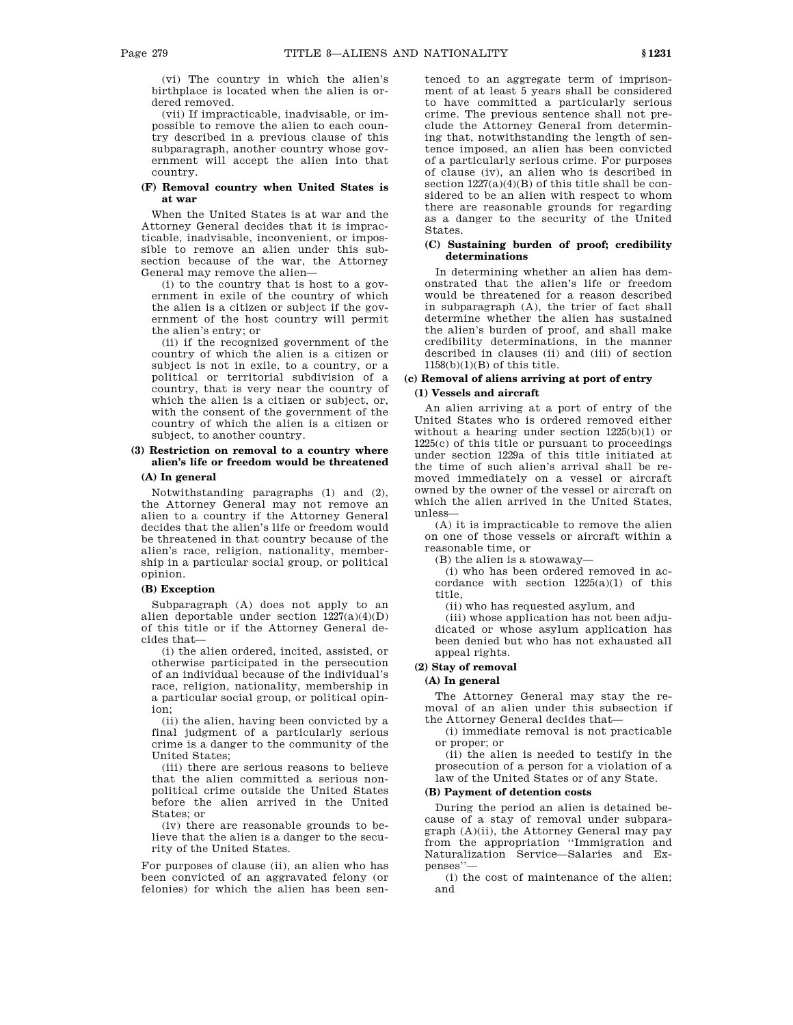(vi) The country in which the alien's birthplace is located when the alien is ordered removed.

(vii) If impracticable, inadvisable, or impossible to remove the alien to each country described in a previous clause of this subparagraph, another country whose government will accept the alien into that country.

### **(F) Removal country when United States is at war**

When the United States is at war and the Attorney General decides that it is impracticable, inadvisable, inconvenient, or impossible to remove an alien under this subsection because of the war, the Attorney General may remove the alien—

(i) to the country that is host to a government in exile of the country of which the alien is a citizen or subject if the government of the host country will permit the alien's entry; or

(ii) if the recognized government of the country of which the alien is a citizen or subject is not in exile, to a country, or a political or territorial subdivision of a country, that is very near the country of which the alien is a citizen or subject, or, with the consent of the government of the country of which the alien is a citizen or subject, to another country.

### **(3) Restriction on removal to a country where alien's life or freedom would be threatened**

### **(A) In general**

Notwithstanding paragraphs (1) and (2), the Attorney General may not remove an alien to a country if the Attorney General decides that the alien's life or freedom would be threatened in that country because of the alien's race, religion, nationality, membership in a particular social group, or political opinion.

# **(B) Exception**

Subparagraph (A) does not apply to an alien deportable under section 1227(a)(4)(D) of this title or if the Attorney General decides that—

(i) the alien ordered, incited, assisted, or otherwise participated in the persecution of an individual because of the individual's race, religion, nationality, membership in a particular social group, or political opinion;

(ii) the alien, having been convicted by a final judgment of a particularly serious crime is a danger to the community of the United States;

(iii) there are serious reasons to believe that the alien committed a serious nonpolitical crime outside the United States before the alien arrived in the United States; or

(iv) there are reasonable grounds to believe that the alien is a danger to the security of the United States.

For purposes of clause (ii), an alien who has been convicted of an aggravated felony (or felonies) for which the alien has been sentenced to an aggregate term of imprisonment of at least 5 years shall be considered to have committed a particularly serious crime. The previous sentence shall not preclude the Attorney General from determining that, notwithstanding the length of sentence imposed, an alien has been convicted of a particularly serious crime. For purposes of clause (iv), an alien who is described in section  $1227(a)(4)(B)$  of this title shall be considered to be an alien with respect to whom there are reasonable grounds for regarding as a danger to the security of the United States.

### **(C) Sustaining burden of proof; credibility determinations**

In determining whether an alien has demonstrated that the alien's life or freedom would be threatened for a reason described in subparagraph (A), the trier of fact shall determine whether the alien has sustained the alien's burden of proof, and shall make credibility determinations, in the manner described in clauses (ii) and (iii) of section  $1158(b)(1)(B)$  of this title.

# **(c) Removal of aliens arriving at port of entry**

# **(1) Vessels and aircraft**

An alien arriving at a port of entry of the United States who is ordered removed either without a hearing under section 1225(b)(1) or 1225(c) of this title or pursuant to proceedings under section 1229a of this title initiated at the time of such alien's arrival shall be removed immediately on a vessel or aircraft owned by the owner of the vessel or aircraft on which the alien arrived in the United States, unless—

(A) it is impracticable to remove the alien on one of those vessels or aircraft within a reasonable time, or

(B) the alien is a stowaway—

(i) who has been ordered removed in accordance with section 1225(a)(1) of this title,

(ii) who has requested asylum, and

(iii) whose application has not been adjudicated or whose asylum application has been denied but who has not exhausted all appeal rights.

# **(2) Stay of removal**

# **(A) In general**

The Attorney General may stay the removal of an alien under this subsection if the Attorney General decides that—

(i) immediate removal is not practicable or proper; or

(ii) the alien is needed to testify in the prosecution of a person for a violation of a law of the United States or of any State.

### **(B) Payment of detention costs**

During the period an alien is detained because of a stay of removal under subparagraph (A)(ii), the Attorney General may pay from the appropriation ''Immigration and Naturalization Service—Salaries and Expenses''—

(i) the cost of maintenance of the alien; and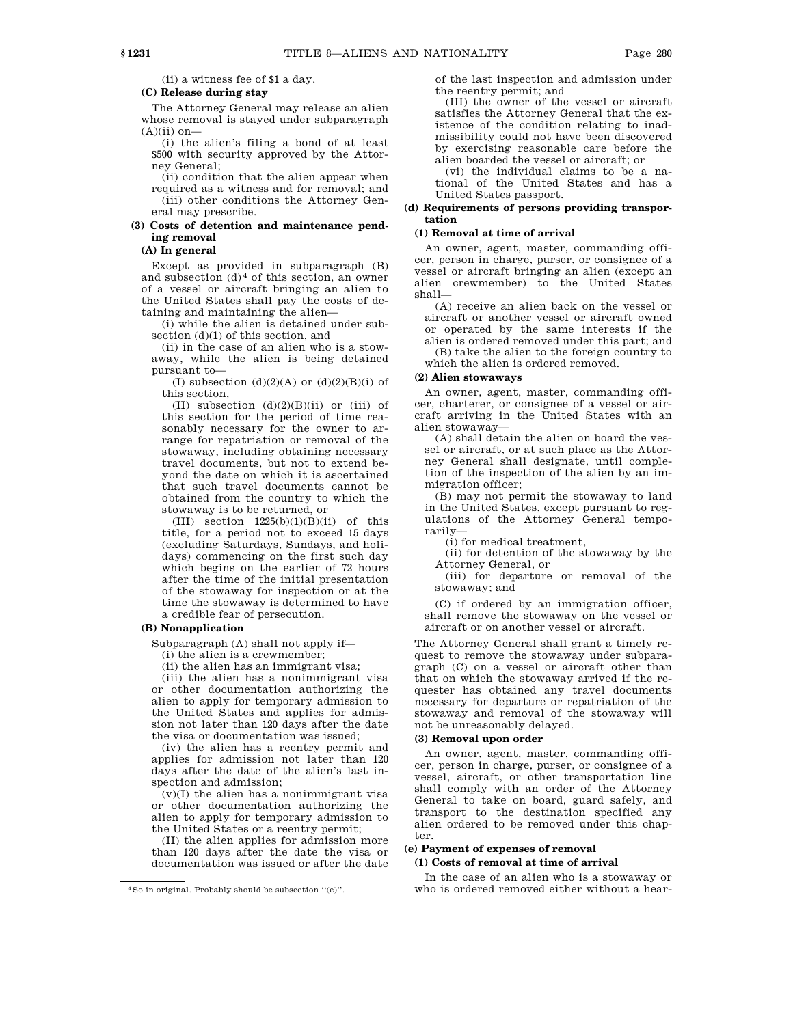(ii) a witness fee of \$1 a day.

# **(C) Release during stay**

The Attorney General may release an alien whose removal is stayed under subparagraph  $(A)(ii)$  on-

(i) the alien's filing a bond of at least \$500 with security approved by the Attorney General;

(ii) condition that the alien appear when required as a witness and for removal; and (iii) other conditions the Attorney General may prescribe.

### **(3) Costs of detention and maintenance pending removal**

#### **(A) In general**

Except as provided in subparagraph (B) and subsection  $(d)$ <sup>4</sup> of this section, an owner of a vessel or aircraft bringing an alien to the United States shall pay the costs of detaining and maintaining the alien—

(i) while the alien is detained under subsection  $(d)(1)$  of this section, and

(ii) in the case of an alien who is a stowaway, while the alien is being detained pursuant to—

(I) subsection  $(d)(2)(A)$  or  $(d)(2)(B)(i)$  of this section,

(II) subsection  $(d)(2)(B)(ii)$  or (iii) of this section for the period of time reasonably necessary for the owner to arrange for repatriation or removal of the stowaway, including obtaining necessary travel documents, but not to extend beyond the date on which it is ascertained that such travel documents cannot be obtained from the country to which the stowaway is to be returned, or

(III) section  $1225(b)(1)(B)(ii)$  of this title, for a period not to exceed 15 days (excluding Saturdays, Sundays, and holidays) commencing on the first such day which begins on the earlier of 72 hours after the time of the initial presentation of the stowaway for inspection or at the time the stowaway is determined to have a credible fear of persecution.

### **(B) Nonapplication**

Subparagraph (A) shall not apply if—

(i) the alien is a crewmember;

(ii) the alien has an immigrant visa;

(iii) the alien has a nonimmigrant visa or other documentation authorizing the alien to apply for temporary admission to the United States and applies for admission not later than 120 days after the date the visa or documentation was issued;

(iv) the alien has a reentry permit and applies for admission not later than 120 days after the date of the alien's last inspection and admission;

 $\left(\mathbf{v})(\mathbf{I}\right)$  the alien has a nonimmigrant visa or other documentation authorizing the alien to apply for temporary admission to the United States or a reentry permit;

(II) the alien applies for admission more than 120 days after the date the visa or documentation was issued or after the date

of the last inspection and admission under the reentry permit; and

(III) the owner of the vessel or aircraft satisfies the Attorney General that the existence of the condition relating to inadmissibility could not have been discovered by exercising reasonable care before the alien boarded the vessel or aircraft; or

(vi) the individual claims to be a national of the United States and has a United States passport.

**(d) Requirements of persons providing transportation**

# **(1) Removal at time of arrival**

An owner, agent, master, commanding officer, person in charge, purser, or consignee of a vessel or aircraft bringing an alien (except an alien crewmember) to the United States shall—

(A) receive an alien back on the vessel or aircraft or another vessel or aircraft owned or operated by the same interests if the alien is ordered removed under this part; and (B) take the alien to the foreign country to

which the alien is ordered removed.

# **(2) Alien stowaways**

An owner, agent, master, commanding officer, charterer, or consignee of a vessel or aircraft arriving in the United States with an alien stowaway—

(A) shall detain the alien on board the vessel or aircraft, or at such place as the Attorney General shall designate, until completion of the inspection of the alien by an immigration officer;

(B) may not permit the stowaway to land in the United States, except pursuant to regulations of the Attorney General temporarily—

(i) for medical treatment,

(ii) for detention of the stowaway by the Attorney General, or

(iii) for departure or removal of the stowaway; and

(C) if ordered by an immigration officer, shall remove the stowaway on the vessel or aircraft or on another vessel or aircraft.

The Attorney General shall grant a timely request to remove the stowaway under subparagraph (C) on a vessel or aircraft other than that on which the stowaway arrived if the requester has obtained any travel documents necessary for departure or repatriation of the stowaway and removal of the stowaway will not be unreasonably delayed.

### **(3) Removal upon order**

An owner, agent, master, commanding officer, person in charge, purser, or consignee of a vessel, aircraft, or other transportation line shall comply with an order of the Attorney General to take on board, guard safely, and transport to the destination specified any alien ordered to be removed under this chapter.

### **(e) Payment of expenses of removal**

### **(1) Costs of removal at time of arrival**

In the case of an alien who is a stowaway or who is ordered removed either without a hear-

<sup>4</sup>So in original. Probably should be subsection ''(e)''.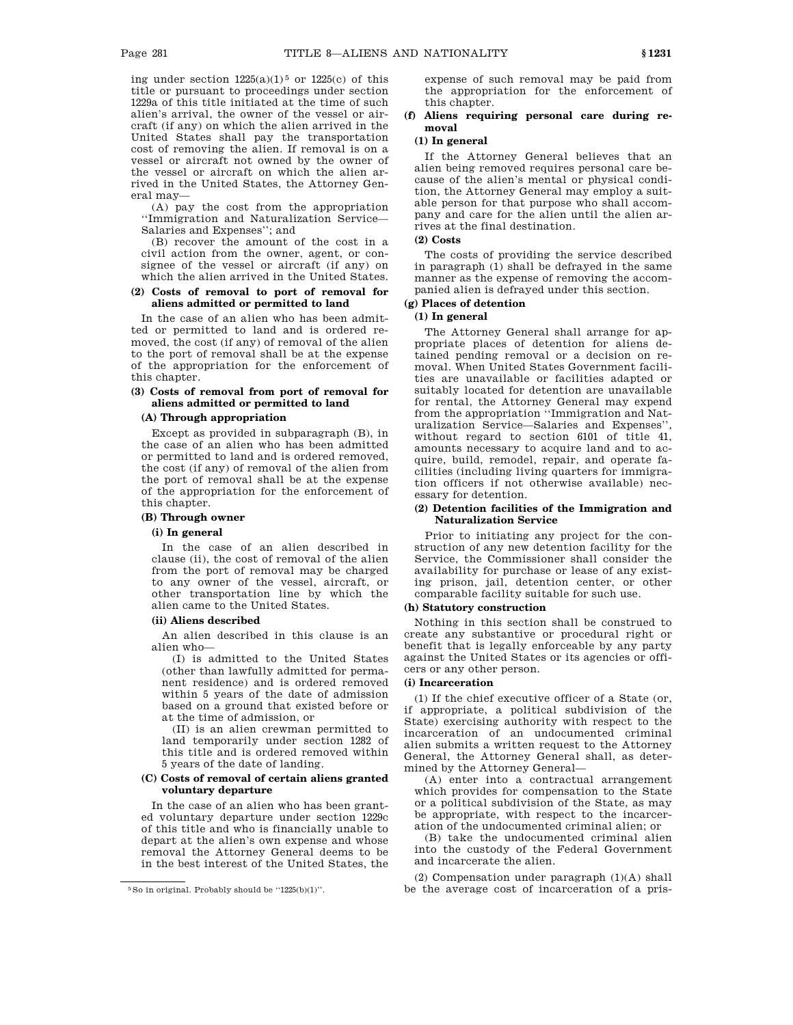ing under section  $1225(a)(1)^5$  or  $1225(c)$  of this title or pursuant to proceedings under section 1229a of this title initiated at the time of such alien's arrival, the owner of the vessel or aircraft (if any) on which the alien arrived in the United States shall pay the transportation cost of removing the alien. If removal is on a vessel or aircraft not owned by the owner of the vessel or aircraft on which the alien arrived in the United States, the Attorney General may—

(A) pay the cost from the appropriation ''Immigration and Naturalization Service— Salaries and Expenses''; and

(B) recover the amount of the cost in a civil action from the owner, agent, or consignee of the vessel or aircraft (if any) on which the alien arrived in the United States.

### **(2) Costs of removal to port of removal for aliens admitted or permitted to land**

In the case of an alien who has been admitted or permitted to land and is ordered removed, the cost (if any) of removal of the alien to the port of removal shall be at the expense of the appropriation for the enforcement of this chapter.

### **(3) Costs of removal from port of removal for aliens admitted or permitted to land**

### **(A) Through appropriation**

Except as provided in subparagraph (B), in the case of an alien who has been admitted or permitted to land and is ordered removed, the cost (if any) of removal of the alien from the port of removal shall be at the expense of the appropriation for the enforcement of this chapter.

# **(B) Through owner**

### **(i) In general**

In the case of an alien described in clause (ii), the cost of removal of the alien from the port of removal may be charged to any owner of the vessel, aircraft, or other transportation line by which the alien came to the United States.

### **(ii) Aliens described**

An alien described in this clause is an alien who—

(I) is admitted to the United States (other than lawfully admitted for permanent residence) and is ordered removed within 5 years of the date of admission based on a ground that existed before or at the time of admission, or

(II) is an alien crewman permitted to land temporarily under section 1282 of this title and is ordered removed within 5 years of the date of landing.

### **(C) Costs of removal of certain aliens granted voluntary departure**

In the case of an alien who has been granted voluntary departure under section 1229c of this title and who is financially unable to depart at the alien's own expense and whose removal the Attorney General deems to be in the best interest of the United States, the expense of such removal may be paid from the appropriation for the enforcement of this chapter.

### **(f) Aliens requiring personal care during removal**

### **(1) In general**

If the Attorney General believes that an alien being removed requires personal care because of the alien's mental or physical condition, the Attorney General may employ a suitable person for that purpose who shall accompany and care for the alien until the alien arrives at the final destination.

# **(2) Costs**

The costs of providing the service described in paragraph (1) shall be defrayed in the same manner as the expense of removing the accompanied alien is defrayed under this section.

# **(g) Places of detention**

# **(1) In general**

The Attorney General shall arrange for appropriate places of detention for aliens detained pending removal or a decision on removal. When United States Government facilities are unavailable or facilities adapted or suitably located for detention are unavailable for rental, the Attorney General may expend from the appropriation ''Immigration and Naturalization Service—Salaries and Expenses'', without regard to section 6101 of title 41, amounts necessary to acquire land and to acquire, build, remodel, repair, and operate facilities (including living quarters for immigration officers if not otherwise available) necessary for detention.

### **(2) Detention facilities of the Immigration and Naturalization Service**

Prior to initiating any project for the construction of any new detention facility for the Service, the Commissioner shall consider the availability for purchase or lease of any existing prison, jail, detention center, or other comparable facility suitable for such use.

### **(h) Statutory construction**

Nothing in this section shall be construed to create any substantive or procedural right or benefit that is legally enforceable by any party against the United States or its agencies or officers or any other person.

# **(i) Incarceration**

(1) If the chief executive officer of a State (or, if appropriate, a political subdivision of the State) exercising authority with respect to the incarceration of an undocumented criminal alien submits a written request to the Attorney General, the Attorney General shall, as determined by the Attorney General—

(A) enter into a contractual arrangement which provides for compensation to the State or a political subdivision of the State, as may be appropriate, with respect to the incarceration of the undocumented criminal alien; or

(B) take the undocumented criminal alien into the custody of the Federal Government and incarcerate the alien.

(2) Compensation under paragraph (1)(A) shall be the average cost of incarceration of a pris-

<sup>5</sup>So in original. Probably should be ''1225(b)(1)''.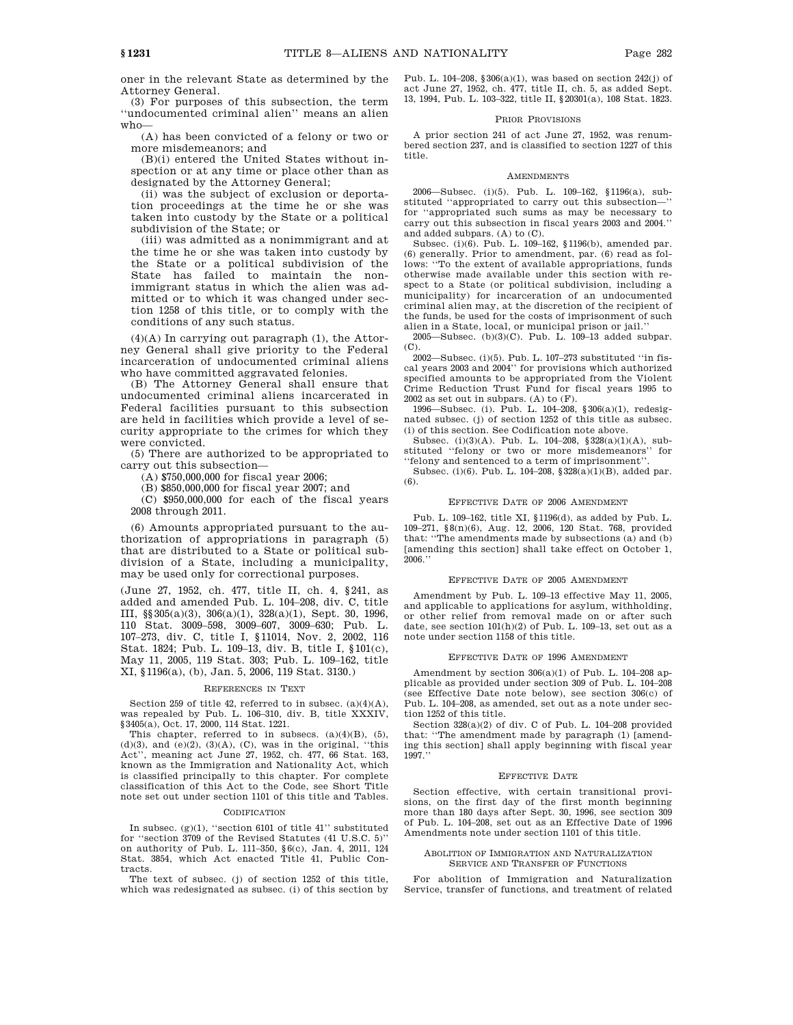oner in the relevant State as determined by the Attorney General.

(3) For purposes of this subsection, the term ''undocumented criminal alien'' means an alien who—

(A) has been convicted of a felony or two or more misdemeanors; and

(B)(i) entered the United States without inspection or at any time or place other than as designated by the Attorney General;

(ii) was the subject of exclusion or deportation proceedings at the time he or she was taken into custody by the State or a political subdivision of the State; or

(iii) was admitted as a nonimmigrant and at the time he or she was taken into custody by the State or a political subdivision of the State has failed to maintain the nonimmigrant status in which the alien was admitted or to which it was changed under section 1258 of this title, or to comply with the conditions of any such status.

 $(4)(A)$  In carrying out paragraph  $(1)$ , the Attorney General shall give priority to the Federal incarceration of undocumented criminal aliens who have committed aggravated felonies.

(B) The Attorney General shall ensure that undocumented criminal aliens incarcerated in Federal facilities pursuant to this subsection are held in facilities which provide a level of security appropriate to the crimes for which they were convicted.

(5) There are authorized to be appropriated to carry out this subsection—

(A) \$750,000,000 for fiscal year 2006;

(B) \$850,000,000 for fiscal year 2007; and

(C) \$950,000,000 for each of the fiscal years 2008 through 2011.

(6) Amounts appropriated pursuant to the authorization of appropriations in paragraph (5) that are distributed to a State or political subdivision of a State, including a municipality, may be used only for correctional purposes.

(June 27, 1952, ch. 477, title II, ch. 4, §241, as added and amended Pub. L. 104–208, div. C, title III, §§305(a)(3), 306(a)(1), 328(a)(1), Sept. 30, 1996, 110 Stat. 3009–598, 3009–607, 3009–630; Pub. L. 107–273, div. C, title I, §11014, Nov. 2, 2002, 116 Stat. 1824; Pub. L. 109–13, div. B, title I, §101(c), May 11, 2005, 119 Stat. 303; Pub. L. 109–162, title XI, §1196(a), (b), Jan. 5, 2006, 119 Stat. 3130.)

#### REFERENCES IN TEXT

Section 259 of title 42, referred to in subsec. (a)(4)(A), was repealed by Pub. L. 106–310, div. B, title XXXIV, §3405(a), Oct. 17, 2000, 114 Stat. 1221.

This chapter, referred to in subsecs. (a)(4)(B), (5),  $(d)(3)$ , and  $(e)(2)$ ,  $(3)(A)$ ,  $(C)$ , was in the original, "this Act'', meaning act June 27, 1952, ch. 477, 66 Stat. 163, known as the Immigration and Nationality Act, which is classified principally to this chapter. For complete classification of this Act to the Code, see Short Title note set out under section 1101 of this title and Tables.

#### **CODIFICATION**

In subsec.  $(g)(1)$ , "section 6101 of title 41" substituted for ''section 3709 of the Revised Statutes (41 U.S.C. 5)'' on authority of Pub. L. 111–350, §6(c), Jan. 4, 2011, 124 Stat. 3854, which Act enacted Title 41, Public Contracts.

The text of subsec. (j) of section 1252 of this title, which was redesignated as subsec. (i) of this section by Pub. L. 104–208, §306(a)(1), was based on section 242(j) of act June 27, 1952, ch. 477, title II, ch. 5, as added Sept. 13, 1994, Pub. L. 103–322, title II, §20301(a), 108 Stat. 1823.

### PRIOR PROVISIONS

A prior section 241 of act June 27, 1952, was renumbered section 237, and is classified to section 1227 of this title.

#### **AMENDMENTS**

2006—Subsec. (i)(5). Pub. L. 109–162, §1196(a), substituted "appropriated to carry out this subsectionfor ''appropriated such sums as may be necessary to carry out this subsection in fiscal years 2003 and 2004.'' and added subpars. (A) to (C).

Subsec. (i)(6). Pub. L. 109–162, §1196(b), amended par. (6) generally. Prior to amendment, par. (6) read as follows: ''To the extent of available appropriations, funds otherwise made available under this section with respect to a State (or political subdivision, including a municipality) for incarceration of an undocumented criminal alien may, at the discretion of the recipient of the funds, be used for the costs of imprisonment of such alien in a State, local, or municipal prison or jail.''

2005—Subsec. (b)(3)(C). Pub. L. 109–13 added subpar.  $(C)$ 

2002—Subsec. (i)(5). Pub. L. 107–273 substituted ''in fiscal years 2003 and 2004'' for provisions which authorized specified amounts to be appropriated from the Violent Crime Reduction Trust Fund for fiscal years 1995 to  $2002$  as set out in subpars. (A) to  $({\rm F}).$ 

1996—Subsec. (i). Pub. L. 104–208, §306(a)(1), redesignated subsec. (j) of section 1252 of this title as subsec. (i) of this section. See Codification note above.

Subsec. (i)(3)(A). Pub. L. 104–208, §328(a)(1)(A), substituted ''felony or two or more misdemeanors'' for ''felony and sentenced to a term of imprisonment''.

Subsec. (i)(6). Pub. L. 104–208, §328(a)(1)(B), added par. (6).

#### EFFECTIVE DATE OF 2006 AMENDMENT

Pub. L. 109–162, title XI, §1196(d), as added by Pub. L. 109–271, §8(n)(6), Aug. 12, 2006, 120 Stat. 768, provided that: ''The amendments made by subsections (a) and (b) [amending this section] shall take effect on October 1, 2006.''

#### EFFECTIVE DATE OF 2005 AMENDMENT

Amendment by Pub. L. 109–13 effective May 11, 2005, and applicable to applications for asylum, withholding, or other relief from removal made on or after such date, see section 101(h)(2) of Pub. L. 109–13, set out as a note under section 1158 of this title.

#### EFFECTIVE DATE OF 1996 AMENDMENT

Amendment by section 306(a)(1) of Pub. L. 104–208 applicable as provided under section 309 of Pub. L. 104–208 (see Effective Date note below), see section 306(c) of Pub. L. 104–208, as amended, set out as a note under section 1252 of this title.

Section 328(a)(2) of div. C of Pub. L. 104–208 provided that: ''The amendment made by paragraph (1) [amending this section] shall apply beginning with fiscal year 1997.''

### EFFECTIVE DATE

Section effective, with certain transitional provisions, on the first day of the first month beginning more than 180 days after Sept. 30, 1996, see section 309 of Pub. L. 104–208, set out as an Effective Date of 1996 Amendments note under section 1101 of this title.

#### ABOLITION OF IMMIGRATION AND NATURALIZATION SERVICE AND TRANSFER OF FUNCTIONS

For abolition of Immigration and Naturalization Service, transfer of functions, and treatment of related